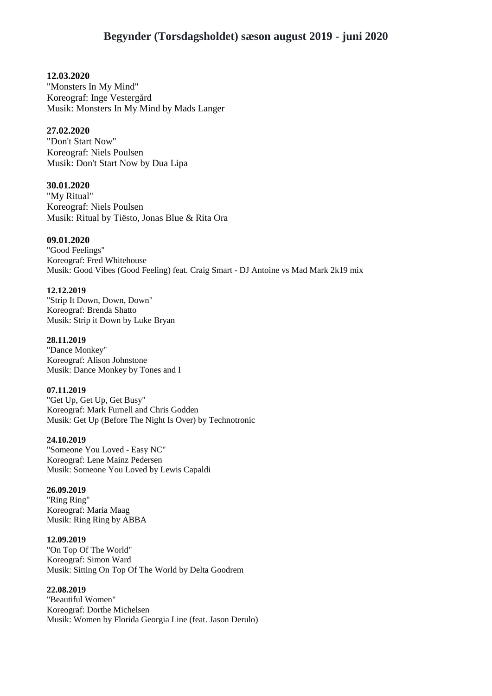# **12.03.2020**

"Monsters In My Mind" Koreograf: Inge Vestergård Musik: Monsters In My Mind by Mads Langer

# **27.02.2020**

"Don't Start Now" Koreograf: Niels Poulsen Musik: Don't Start Now by Dua Lipa

# **30.01.2020**

"My Ritual" Koreograf: Niels Poulsen Musik: Ritual by Tiësto, Jonas Blue & Rita Ora

# **09.01.2020**

"Good Feelings" Koreograf: Fred Whitehouse Musik: Good Vibes (Good Feeling) feat. Craig Smart - DJ Antoine vs Mad Mark 2k19 mix

# **12.12.2019**

"Strip It Down, Down, Down" Koreograf: Brenda Shatto Musik: Strip it Down by Luke Bryan

#### **28.11.2019**

"Dance Monkey" Koreograf: Alison Johnstone Musik: Dance Monkey by Tones and I

#### **07.11.2019**

"Get Up, Get Up, Get Busy" Koreograf: Mark Furnell and Chris Godden Musik: Get Up (Before The Night Is Over) by Technotronic

#### **24.10.2019**

"Someone You Loved - Easy NC" Koreograf: Lene Mainz Pedersen Musik: Someone You Loved by Lewis Capaldi

#### **26.09.2019**

"Ring Ring" Koreograf: Maria Maag Musik: Ring Ring by ABBA

#### **12.09.2019**

"On Top Of The World" Koreograf: Simon Ward Musik: Sitting On Top Of The World by Delta Goodrem

#### **22.08.2019**

"Beautiful Women" Koreograf: Dorthe Michelsen Musik: Women by Florida Georgia Line (feat. Jason Derulo)